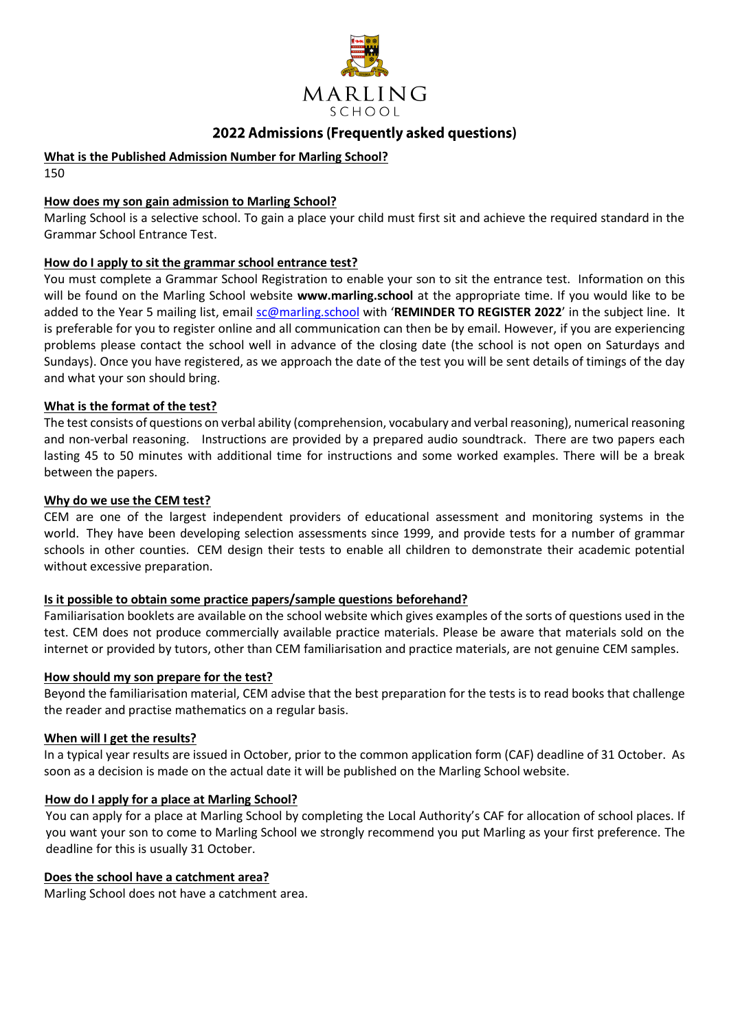

# 2022 Admissions (Frequently asked questions)

## **What is the Published Admission Number for Marling School?**

150

## **How does my son gain admission to Marling School?**

Marling School is a selective school. To gain a place your child must first sit and achieve the required standard in the Grammar School Entrance Test.

## **How do I apply to sit the grammar school entrance test?**

You must complete a Grammar School Registration to enable your son to sit the entrance test. Information on this will be found on the Marling School website **www.marling.school** at the appropriate time. If you would like to be added to the Year 5 mailing list, email [sc@marling.school](mailto:sc@marling.school) with '**REMINDER TO REGISTER 2022**' in the subject line. It is preferable for you to register online and all communication can then be by email. However, if you are experiencing problems please contact the school well in advance of the closing date (the school is not open on Saturdays and Sundays). Once you have registered, as we approach the date of the test you will be sent details of timings of the day and what your son should bring.

## **What is the format of the test?**

The test consists of questions on verbal ability (comprehension, vocabulary and verbal reasoning), numerical reasoning and non-verbal reasoning. Instructions are provided by a prepared audio soundtrack. There are two papers each lasting 45 to 50 minutes with additional time for instructions and some worked examples. There will be a break between the papers.

#### **Why do we use the CEM test?**

CEM are one of the largest independent providers of educational assessment and monitoring systems in the world. They have been developing selection assessments since 1999, and provide tests for a number of grammar schools in other counties. CEM design their tests to enable all children to demonstrate their academic potential without excessive preparation.

#### **Is it possible to obtain some practice papers/sample questions beforehand?**

Familiarisation booklets are available on the school website which gives examples of the sorts of questions used in the test. CEM does not produce commercially available practice materials. Please be aware that materials sold on the internet or provided by tutors, other than CEM familiarisation and practice materials, are not genuine CEM samples.

#### **How should my son prepare for the test?**

Beyond the familiarisation material, CEM advise that the best preparation for the tests is to read books that challenge the reader and practise mathematics on a regular basis.

#### **When will I get the results?**

In a typical year results are issued in October, prior to the common application form (CAF) deadline of 31 October. As soon as a decision is made on the actual date it will be published on the Marling School website.

#### **How do I apply for a place at Marling School?**

You can apply for a place at Marling School by completing the Local Authority's CAF for allocation of school places. If you want your son to come to Marling School we strongly recommend you put Marling as your first preference. The deadline for this is usually 31 October.

#### **Does the school have a catchment area?**

Marling School does not have a catchment area.